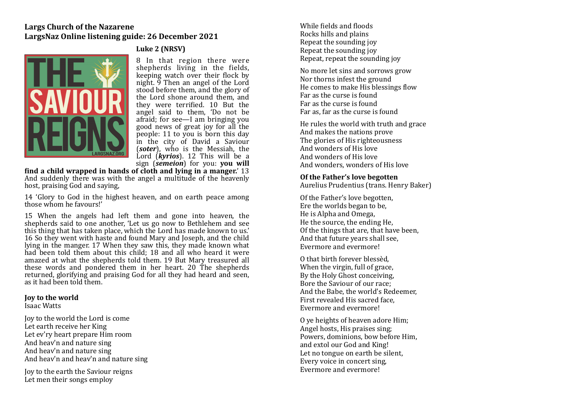### **Largs Church of the Nazarene** LargsNaz Online listening guide: 26 December 2021



#### Luke 2 **(NRSV)**

8 In that region there were shepherds living in the fields. keeping watch over their flock by night.  $\frac{3}{7}$  Then an angel of the Lord stood before them, and the glory of the Lord shone around them, and they were terrified. 10 But the angel said to them. 'Do not be afraid: for see—I am bringing you good news of great joy for all the people:  $11$  to you is born this day in the city of David a Saviour (*soter*), who is the Messiah, the Lord (*kyrios*). 12 This will be a sign (*semeion*) for you: **you** will

**find a child wrapped in bands of cloth and lying in a manger.'** 13 And suddenly there was with the angel a multitude of the heavenly host, praising God and saying,

14 'Glory to God in the highest heaven, and on earth peace among those whom he favours!'

15 When the angels had left them and gone into heaven, the shepherds said to one another, 'Let us go now to Bethlehem and see this thing that has taken place, which the Lord has made known to us.' 16 So they went with haste and found Mary and Joseph, and the child lying in the manger. 17 When they saw this, they made known what had been told them about this child:  $18$  and all who heard it were amazed at what the shepherds told them. 19 But Mary treasured all these words and pondered them in her heart. 20 The shepherds returned, glorifying and praising God for all they had heard and seen, as it had been told them.

#### **Joy** to the world Isaac Watts

Joy to the world the Lord is come Let earth receive her King Let ev'ry heart prepare Him room And heav'n and nature sing And heav'n and nature sing And heav'n and heav'n and nature sing

Joy to the earth the Saviour reigns Let men their songs employ

While fields and floods Rocks hills and plains Repeat the sounding joy Repeat the sounding joy Repeat, repeat the sounding joy

No more let sins and sorrows grow Nor thorns infest the ground He comes to make His blessings flow Far as the curse is found Far as the curse is found Far as, far as the curse is found

He rules the world with truth and grace And makes the nations prove The glories of His righteousness And wonders of His love And wonders of His love And wonders, wonders of His love

### **Of the Father's love begotten**

Aurelius Prudentius (trans. Henry Baker)

Of the Father's love begotten, Ere the worlds began to be, He is Alpha and Omega, He the source, the ending He, Of the things that are, that have been, And that future years shall see, Evermore and evermore!

O that birth forever blessèd. When the virgin, full of grace, By the Holy Ghost conceiving, Bore the Saviour of our race: And the Babe, the world's Redeemer. First revealed His sacred face. Evermore and evermore!

O ye heights of heaven adore Him; Angel hosts, His praises sing; Powers, dominions, bow before Him. and extol our God and King! Let no tongue on earth be silent, Every voice in concert sing. Evermore and evermore!